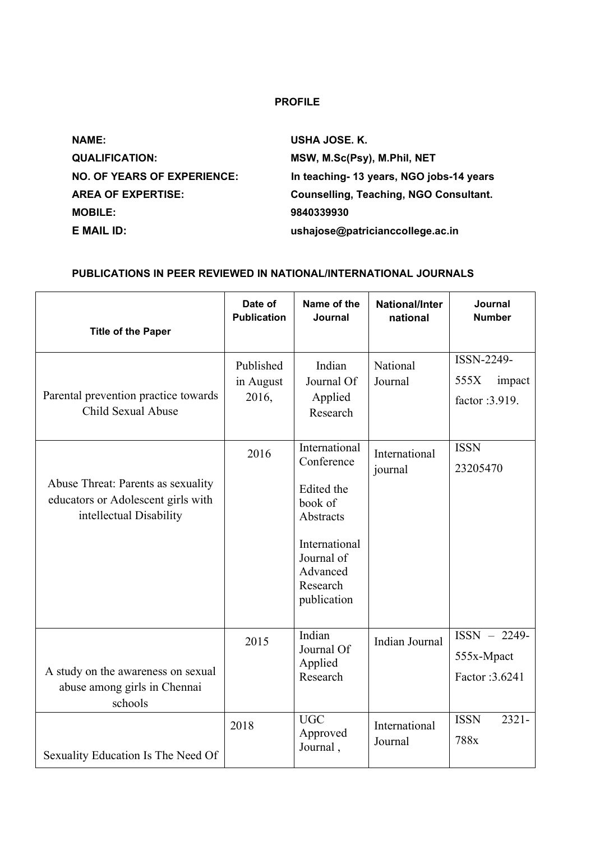## **PROFILE**

**NAME: USHA JOSE. K. QUALIFICATION: MSW, M.Sc(Psy), M.Phil, NET MOBILE: 9840339930**

**NO. OF YEARS OF EXPERIENCE: In teaching- 13 years, NGO jobs-14 years AREA OF EXPERTISE: Counselling, Teaching, NGO Consultant. E MAIL ID: ushajose@patricianccollege.ac.in**

## **PUBLICATIONS IN PEER REVIEWED IN NATIONAL/INTERNATIONAL JOURNALS**

| <b>Title of the Paper</b>                                                                           | Date of<br><b>Publication</b>   | Name of the<br>Journal                                                                                                                  | <b>National/Inter</b><br>national | Journal<br><b>Number</b>                        |
|-----------------------------------------------------------------------------------------------------|---------------------------------|-----------------------------------------------------------------------------------------------------------------------------------------|-----------------------------------|-------------------------------------------------|
| Parental prevention practice towards<br>Child Sexual Abuse                                          | Published<br>in August<br>2016, | Indian<br>Journal Of<br>Applied<br>Research                                                                                             | National<br>Journal               | ISSN-2249-<br>555X<br>impact<br>factor :3.919.  |
| Abuse Threat: Parents as sexuality<br>educators or Adolescent girls with<br>intellectual Disability | 2016                            | International<br>Conference<br>Edited the<br>book of<br>Abstracts<br>International<br>Journal of<br>Advanced<br>Research<br>publication | International<br>journal          | <b>ISSN</b><br>23205470                         |
| A study on the awareness on sexual<br>abuse among girls in Chennai<br>schools                       | 2015                            | Indian<br>Journal Of<br>Applied<br>Research                                                                                             | <b>Indian Journal</b>             | $ISSN - 2249 -$<br>555x-Mpact<br>Factor: 3.6241 |
| Sexuality Education Is The Need Of                                                                  | 2018                            | <b>UGC</b><br>Approved<br>Journal,                                                                                                      | International<br>Journal          | <b>ISSN</b><br>$2321 -$<br>788x                 |